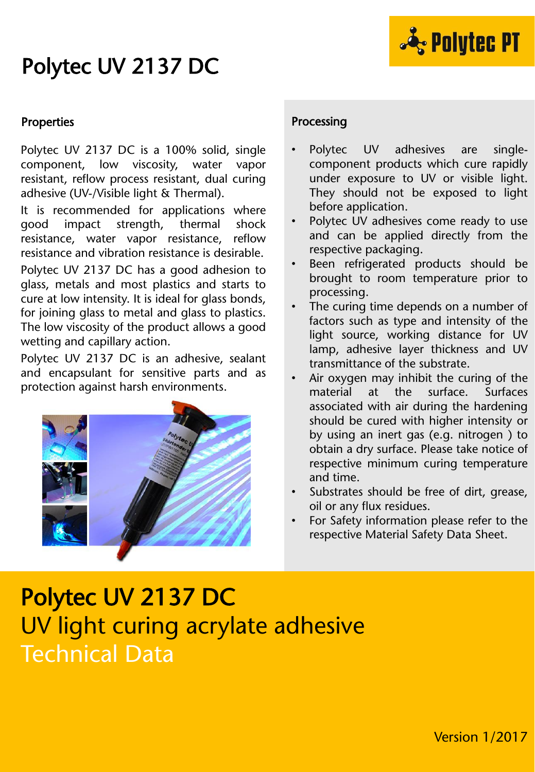# Polytec UV 2137 DC



### **Properties**

Polytec UV 2137 DC is a 100% solid, single component, low viscosity, water vapor resistant, reflow process resistant, dual curing adhesive (UV-/Visible light & Thermal).

It is recommended for applications where good impact strength, thermal shock resistance, water vapor resistance, reflow resistance and vibration resistance is desirable.

Polytec UV 2137 DC has a good adhesion to glass, metals and most plastics and starts to cure at low intensity. It is ideal for glass bonds, for joining glass to metal and glass to plastics. The low viscosity of the product allows a good wetting and capillary action.

Polytec UV 2137 DC is an adhesive, sealant and encapsulant for sensitive parts and as protection against harsh environments.



### Processing

- Polytec UV adhesives are singlecomponent products which cure rapidly under exposure to UV or visible light. They should not be exposed to light before application.
- Polytec UV adhesives come ready to use and can be applied directly from the respective packaging.
- Been refrigerated products should be brought to room temperature prior to processing.
- The curing time depends on a number of factors such as type and intensity of the light source, working distance for UV lamp, adhesive layer thickness and UV transmittance of the substrate.
- Air oxygen may inhibit the curing of the material at the surface. Surfaces associated with air during the hardening should be cured with higher intensity or by using an inert gas (e.g. nitrogen ) to obtain a dry surface. Please take notice of respective minimum curing temperature and time.
- Substrates should be free of dirt, grease, oil or any flux residues.
- For Safety information please refer to the respective Material Safety Data Sheet.

# Polytec UV 2137 DC UV light curing acrylate adhesive Technical Data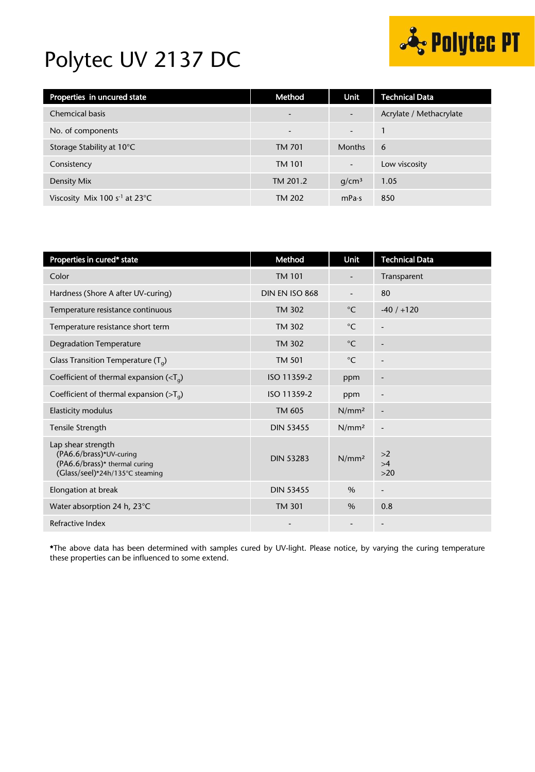## Polytec UV 2137 DC



| Properties in uncured state                | Method                   | Unit                     | <b>Technical Data</b>   |
|--------------------------------------------|--------------------------|--------------------------|-------------------------|
| <b>Chemcical basis</b>                     | $\overline{\phantom{a}}$ |                          | Acrylate / Methacrylate |
| No. of components                          | $\overline{\phantom{0}}$ | $\overline{\phantom{a}}$ |                         |
| Storage Stability at 10°C                  | TM 701                   | <b>Months</b>            | 6                       |
| Consistency                                | <b>TM 101</b>            | $\overline{\phantom{a}}$ | Low viscosity           |
| Density Mix                                | TM 201.2                 | q/cm <sup>3</sup>        | 1.05                    |
| Viscosity Mix 100 $s-1$ at 23 $^{\circ}$ C | TM 202                   | mPa·s                    | 850                     |

| Properties in cured* state                                                                                        | Method           | <b>Unit</b>       | <b>Technical Data</b>    |
|-------------------------------------------------------------------------------------------------------------------|------------------|-------------------|--------------------------|
| Color                                                                                                             | <b>TM 101</b>    |                   | Transparent              |
| Hardness (Shore A after UV-curing)                                                                                | DIN EN ISO 868   |                   | 80                       |
| Temperature resistance continuous                                                                                 | TM 302           | $^{\circ}$ C      | $-40/ +120$              |
| Temperature resistance short term                                                                                 | <b>TM 302</b>    | $^{\circ}$ C      | ٠                        |
| <b>Degradation Temperature</b>                                                                                    | <b>TM 302</b>    | $^{\circ}$ C      | $\blacksquare$           |
| Glass Transition Temperature $(T_q)$                                                                              | TM 501           | $^{\circ}$ C      |                          |
| Coefficient of thermal expansion ( $\langle T_{q} \rangle$                                                        | ISO 11359-2      | ppm               | $\overline{\phantom{a}}$ |
| Coefficient of thermal expansion ( $>Ta$ )                                                                        | ISO 11359-2      | ppm               | $\overline{\phantom{a}}$ |
| <b>Elasticity modulus</b>                                                                                         | TM 605           | N/mm <sup>2</sup> | $\overline{\phantom{a}}$ |
| Tensile Strength                                                                                                  | <b>DIN 53455</b> | N/mm <sup>2</sup> | $\overline{\phantom{a}}$ |
| Lap shear strength<br>(PA6.6/brass)*UV-curing<br>(PA6.6/brass)* thermal curing<br>(Glass/seel)*24h/135°C steaming | <b>DIN 53283</b> | N/mm <sup>2</sup> | >2<br>>4<br>$>20$        |
| Elongation at break                                                                                               | <b>DIN 53455</b> | $\%$              | -                        |
| Water absorption 24 h, 23°C                                                                                       | <b>TM 301</b>    | $\%$              | 0.8                      |
| Refractive Index                                                                                                  |                  |                   | $\overline{\phantom{a}}$ |

\*The above data has been determined with samples cured by UV-light. Please notice, by varying the curing temperature these properties can be influenced to some extend.